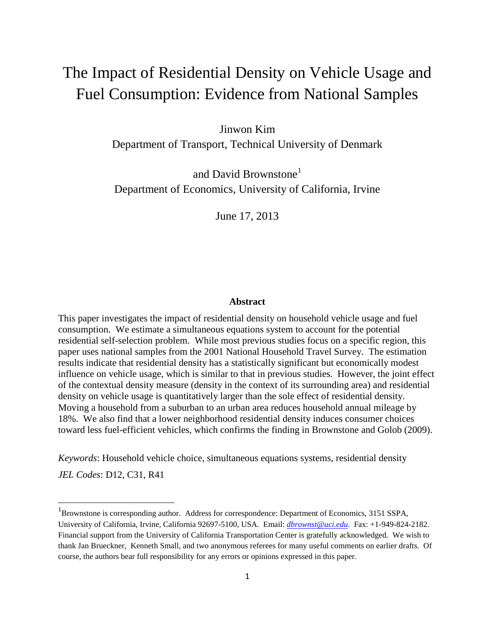# The Impact of Residential Density on Vehicle Usage and Fuel Consumption: Evidence from National Samples

Jinwon Kim

Department of Transport, Technical University of Denmark

and David Brownstone<sup>[1](#page-0-0)</sup> Department of Economics, University of California, Irvine

June 17, 2013

#### **Abstract**

This paper investigates the impact of residential density on household vehicle usage and fuel consumption. We estimate a simultaneous equations system to account for the potential residential self-selection problem. While most previous studies focus on a specific region, this paper uses national samples from the 2001 National Household Travel Survey. The estimation results indicate that residential density has a statistically significant but economically modest influence on vehicle usage, which is similar to that in previous studies. However, the joint effect of the contextual density measure (density in the context of its surrounding area) and residential density on vehicle usage is quantitatively larger than the sole effect of residential density. Moving a household from a suburban to an urban area reduces household annual mileage by 18%. We also find that a lower neighborhood residential density induces consumer choices toward less fuel-efficient vehicles, which confirms the finding in Brownstone and Golob (2009).

*Keywords*: Household vehicle choice, simultaneous equations systems, residential density *JEL Codes*: D12, C31, R41

<span id="page-0-0"></span><sup>1&</sup>lt;br>
<sup>1</sup> Brownstone is corresponding author. Address for correspondence: Department of Economics, 3151 SSPA, University of California, Irvine, California 92697-5100, USA. Email: *[dbrownst@uci.edu](mailto:dbrownst@uci.edu)*. Fax: +1-949-824-2182. Financial support from the University of California Transportation Center is gratefully acknowledged. We wish to thank Jan Brueckner, Kenneth Small, and two anonymous referees for many useful comments on earlier drafts. Of course, the authors bear full responsibility for any errors or opinions expressed in this paper.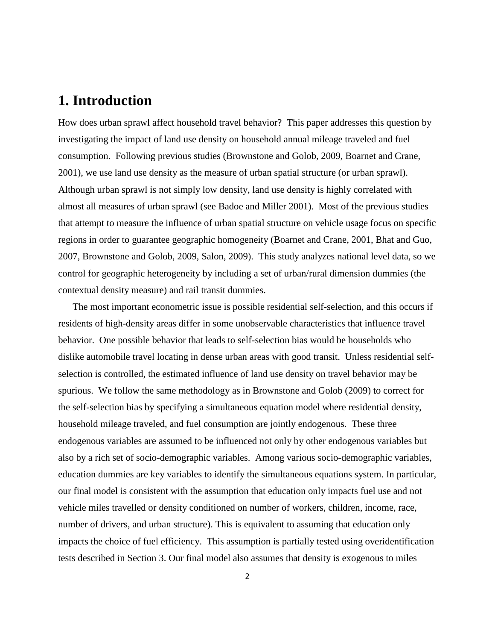## **1. Introduction**

How does urban sprawl affect household travel behavior? This paper addresses this question by investigating the impact of land use density on household annual mileage traveled and fuel consumption. Following previous studies (Brownstone and Golob, 2009, Boarnet and Crane, 2001), we use land use density as the measure of urban spatial structure (or urban sprawl). Although urban sprawl is not simply low density, land use density is highly correlated with almost all measures of urban sprawl (see Badoe and Miller 2001). Most of the previous studies that attempt to measure the influence of urban spatial structure on vehicle usage focus on specific regions in order to guarantee geographic homogeneity (Boarnet and Crane, 2001, Bhat and Guo, 2007, Brownstone and Golob, 2009, Salon, 2009). This study analyzes national level data, so we control for geographic heterogeneity by including a set of urban/rural dimension dummies (the contextual density measure) and rail transit dummies.

The most important econometric issue is possible residential self-selection, and this occurs if residents of high-density areas differ in some unobservable characteristics that influence travel behavior. One possible behavior that leads to self-selection bias would be households who dislike automobile travel locating in dense urban areas with good transit. Unless residential selfselection is controlled, the estimated influence of land use density on travel behavior may be spurious. We follow the same methodology as in Brownstone and Golob (2009) to correct for the self-selection bias by specifying a simultaneous equation model where residential density, household mileage traveled, and fuel consumption are jointly endogenous. These three endogenous variables are assumed to be influenced not only by other endogenous variables but also by a rich set of socio-demographic variables. Among various socio-demographic variables, education dummies are key variables to identify the simultaneous equations system. In particular, our final model is consistent with the assumption that education only impacts fuel use and not vehicle miles travelled or density conditioned on number of workers, children, income, race, number of drivers, and urban structure). This is equivalent to assuming that education only impacts the choice of fuel efficiency. This assumption is partially tested using overidentification tests described in Section 3. Our final model also assumes that density is exogenous to miles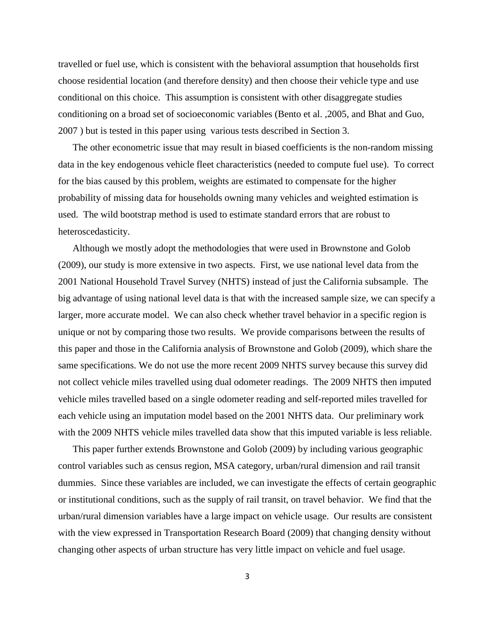travelled or fuel use, which is consistent with the behavioral assumption that households first choose residential location (and therefore density) and then choose their vehicle type and use conditional on this choice. This assumption is consistent with other disaggregate studies conditioning on a broad set of socioeconomic variables (Bento et al. ,2005, and Bhat and Guo, 2007 ) but is tested in this paper using various tests described in Section 3.

The other econometric issue that may result in biased coefficients is the non-random missing data in the key endogenous vehicle fleet characteristics (needed to compute fuel use). To correct for the bias caused by this problem, weights are estimated to compensate for the higher probability of missing data for households owning many vehicles and weighted estimation is used. The wild bootstrap method is used to estimate standard errors that are robust to heteroscedasticity.

Although we mostly adopt the methodologies that were used in Brownstone and Golob (2009), our study is more extensive in two aspects. First, we use national level data from the 2001 National Household Travel Survey (NHTS) instead of just the California subsample. The big advantage of using national level data is that with the increased sample size, we can specify a larger, more accurate model. We can also check whether travel behavior in a specific region is unique or not by comparing those two results. We provide comparisons between the results of this paper and those in the California analysis of Brownstone and Golob (2009), which share the same specifications. We do not use the more recent 2009 NHTS survey because this survey did not collect vehicle miles travelled using dual odometer readings. The 2009 NHTS then imputed vehicle miles travelled based on a single odometer reading and self-reported miles travelled for each vehicle using an imputation model based on the 2001 NHTS data. Our preliminary work with the 2009 NHTS vehicle miles travelled data show that this imputed variable is less reliable.

This paper further extends Brownstone and Golob (2009) by including various geographic control variables such as census region, MSA category, urban/rural dimension and rail transit dummies. Since these variables are included, we can investigate the effects of certain geographic or institutional conditions, such as the supply of rail transit, on travel behavior. We find that the urban/rural dimension variables have a large impact on vehicle usage. Our results are consistent with the view expressed in Transportation Research Board (2009) that changing density without changing other aspects of urban structure has very little impact on vehicle and fuel usage.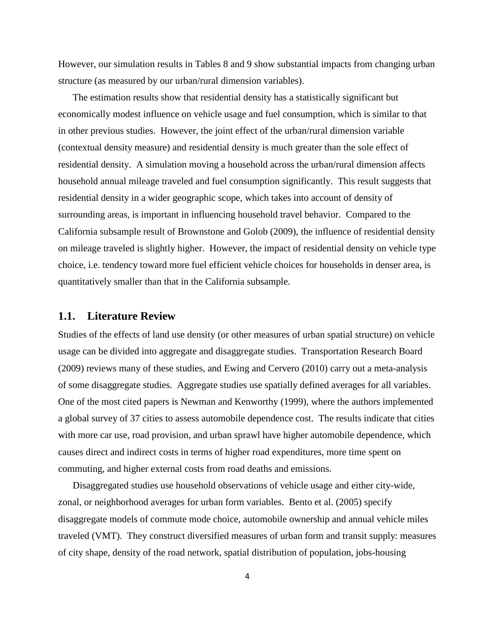However, our simulation results in Tables 8 and 9 show substantial impacts from changing urban structure (as measured by our urban/rural dimension variables).

The estimation results show that residential density has a statistically significant but economically modest influence on vehicle usage and fuel consumption, which is similar to that in other previous studies. However, the joint effect of the urban/rural dimension variable (contextual density measure) and residential density is much greater than the sole effect of residential density. A simulation moving a household across the urban/rural dimension affects household annual mileage traveled and fuel consumption significantly. This result suggests that residential density in a wider geographic scope, which takes into account of density of surrounding areas, is important in influencing household travel behavior. Compared to the California subsample result of Brownstone and Golob (2009), the influence of residential density on mileage traveled is slightly higher. However, the impact of residential density on vehicle type choice, i.e. tendency toward more fuel efficient vehicle choices for households in denser area, is quantitatively smaller than that in the California subsample.

### **1.1. Literature Review**

Studies of the effects of land use density (or other measures of urban spatial structure) on vehicle usage can be divided into aggregate and disaggregate studies. Transportation Research Board (2009) reviews many of these studies, and Ewing and Cervero (2010) carry out a meta-analysis of some disaggregate studies. Aggregate studies use spatially defined averages for all variables. One of the most cited papers is Newman and Kenworthy (1999), where the authors implemented a global survey of 37 cities to assess automobile dependence cost. The results indicate that cities with more car use, road provision, and urban sprawl have higher automobile dependence, which causes direct and indirect costs in terms of higher road expenditures, more time spent on commuting, and higher external costs from road deaths and emissions.

Disaggregated studies use household observations of vehicle usage and either city-wide, zonal, or neighborhood averages for urban form variables. Bento et al. (2005) specify disaggregate models of commute mode choice, automobile ownership and annual vehicle miles traveled (VMT). They construct diversified measures of urban form and transit supply: measures of city shape, density of the road network, spatial distribution of population, jobs-housing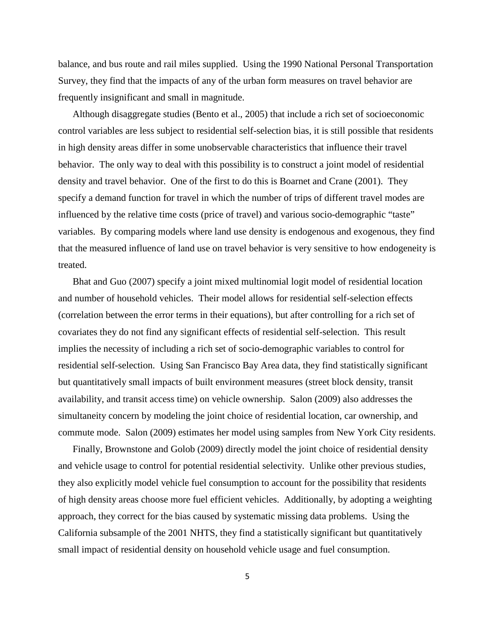balance, and bus route and rail miles supplied. Using the 1990 National Personal Transportation Survey, they find that the impacts of any of the urban form measures on travel behavior are frequently insignificant and small in magnitude.

Although disaggregate studies (Bento et al., 2005) that include a rich set of socioeconomic control variables are less subject to residential self-selection bias, it is still possible that residents in high density areas differ in some unobservable characteristics that influence their travel behavior. The only way to deal with this possibility is to construct a joint model of residential density and travel behavior. One of the first to do this is Boarnet and Crane (2001). They specify a demand function for travel in which the number of trips of different travel modes are influenced by the relative time costs (price of travel) and various socio-demographic "taste" variables. By comparing models where land use density is endogenous and exogenous, they find that the measured influence of land use on travel behavior is very sensitive to how endogeneity is treated.

Bhat and Guo (2007) specify a joint mixed multinomial logit model of residential location and number of household vehicles. Their model allows for residential self-selection effects (correlation between the error terms in their equations), but after controlling for a rich set of covariates they do not find any significant effects of residential self-selection. This result implies the necessity of including a rich set of socio-demographic variables to control for residential self-selection. Using San Francisco Bay Area data, they find statistically significant but quantitatively small impacts of built environment measures (street block density, transit availability, and transit access time) on vehicle ownership. Salon (2009) also addresses the simultaneity concern by modeling the joint choice of residential location, car ownership, and commute mode. Salon (2009) estimates her model using samples from New York City residents.

Finally, Brownstone and Golob (2009) directly model the joint choice of residential density and vehicle usage to control for potential residential selectivity. Unlike other previous studies, they also explicitly model vehicle fuel consumption to account for the possibility that residents of high density areas choose more fuel efficient vehicles. Additionally, by adopting a weighting approach, they correct for the bias caused by systematic missing data problems. Using the California subsample of the 2001 NHTS, they find a statistically significant but quantitatively small impact of residential density on household vehicle usage and fuel consumption.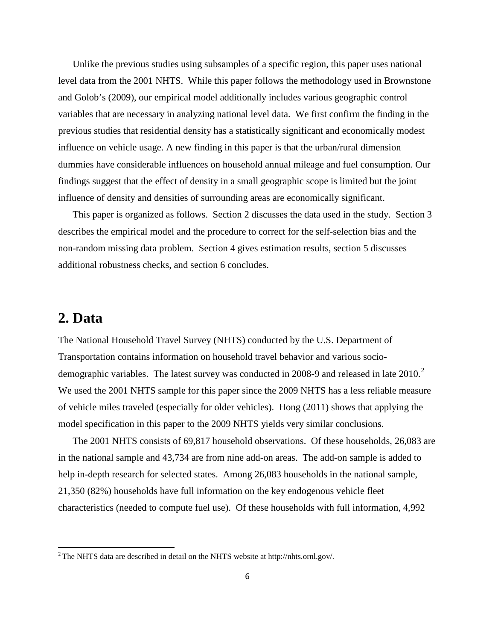Unlike the previous studies using subsamples of a specific region, this paper uses national level data from the 2001 NHTS. While this paper follows the methodology used in Brownstone and Golob's (2009), our empirical model additionally includes various geographic control variables that are necessary in analyzing national level data. We first confirm the finding in the previous studies that residential density has a statistically significant and economically modest influence on vehicle usage. A new finding in this paper is that the urban/rural dimension dummies have considerable influences on household annual mileage and fuel consumption. Our findings suggest that the effect of density in a small geographic scope is limited but the joint influence of density and densities of surrounding areas are economically significant.

This paper is organized as follows. Section 2 discusses the data used in the study. Section 3 describes the empirical model and the procedure to correct for the self-selection bias and the non-random missing data problem. Section 4 gives estimation results, section 5 discusses additional robustness checks, and section 6 concludes.

## **2. Data**

The National Household Travel Survey (NHTS) conducted by the U.S. Department of Transportation contains information on household travel behavior and various socio-demographic variables. The latest survey was conducted in [2](#page-5-0)008-9 and released in late 2010.<sup>2</sup> We used the 2001 NHTS sample for this paper since the 2009 NHTS has a less reliable measure of vehicle miles traveled (especially for older vehicles). Hong (2011) shows that applying the model specification in this paper to the 2009 NHTS yields very similar conclusions.

The 2001 NHTS consists of 69,817 household observations. Of these households, 26,083 are in the national sample and 43,734 are from nine add-on areas. The add-on sample is added to help in-depth research for selected states. Among 26,083 households in the national sample, 21,350 (82%) households have full information on the key endogenous vehicle fleet characteristics (needed to compute fuel use). Of these households with full information, 4,992

<span id="page-5-0"></span> $2$ <sup>2</sup> The NHTS data are described in detail on the NHTS website at http://nhts.ornl.gov/.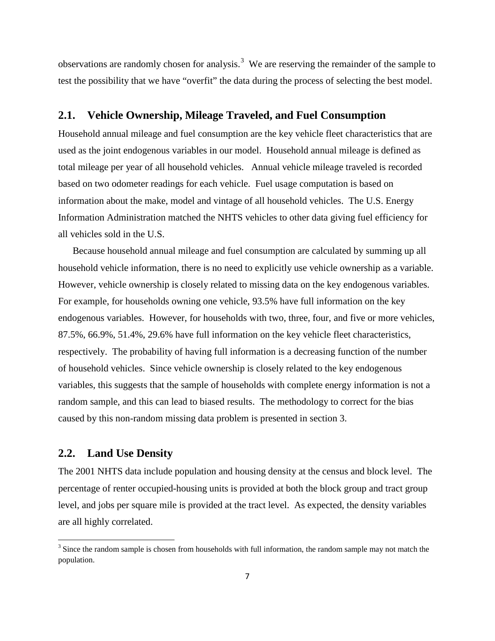observations are randomly chosen for analysis.<sup>[3](#page-6-0)</sup> We are reserving the remainder of the sample to test the possibility that we have "overfit" the data during the process of selecting the best model.

### **2.1. Vehicle Ownership, Mileage Traveled, and Fuel Consumption**

Household annual mileage and fuel consumption are the key vehicle fleet characteristics that are used as the joint endogenous variables in our model. Household annual mileage is defined as total mileage per year of all household vehicles. Annual vehicle mileage traveled is recorded based on two odometer readings for each vehicle. Fuel usage computation is based on information about the make, model and vintage of all household vehicles. The U.S. Energy Information Administration matched the NHTS vehicles to other data giving fuel efficiency for all vehicles sold in the U.S.

Because household annual mileage and fuel consumption are calculated by summing up all household vehicle information, there is no need to explicitly use vehicle ownership as a variable. However, vehicle ownership is closely related to missing data on the key endogenous variables. For example, for households owning one vehicle, 93.5% have full information on the key endogenous variables. However, for households with two, three, four, and five or more vehicles, 87.5%, 66.9%, 51.4%, 29.6% have full information on the key vehicle fleet characteristics, respectively. The probability of having full information is a decreasing function of the number of household vehicles. Since vehicle ownership is closely related to the key endogenous variables, this suggests that the sample of households with complete energy information is not a random sample, and this can lead to biased results. The methodology to correct for the bias caused by this non-random missing data problem is presented in section 3.

### **2.2. Land Use Density**

 $\overline{\phantom{a}}$ 

The 2001 NHTS data include population and housing density at the census and block level. The percentage of renter occupied-housing units is provided at both the block group and tract group level, and jobs per square mile is provided at the tract level. As expected, the density variables are all highly correlated.

<span id="page-6-0"></span> $3$  Since the random sample is chosen from households with full information, the random sample may not match the population.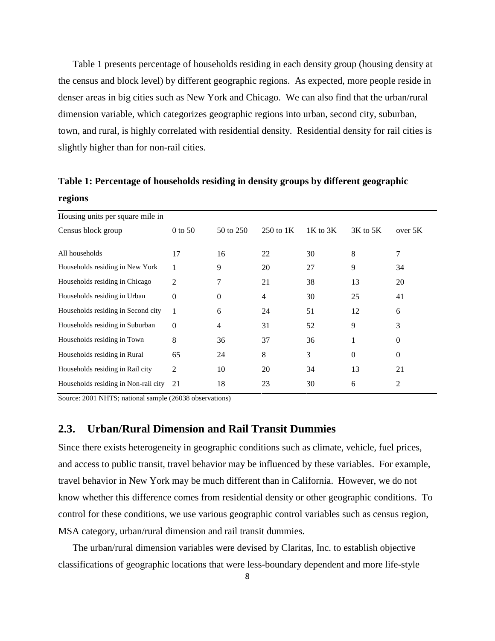Table 1 presents percentage of households residing in each density group (housing density at the census and block level) by different geographic regions. As expected, more people reside in denser areas in big cities such as New York and Chicago. We can also find that the urban/rural dimension variable, which categorizes geographic regions into urban, second city, suburban, town, and rural, is highly correlated with residential density. Residential density for rail cities is slightly higher than for non-rail cities.

| Housing units per square mile in     |          |              |             |              |              |          |
|--------------------------------------|----------|--------------|-------------|--------------|--------------|----------|
| Census block group                   | 0 to 50  | 50 to 250    | 250 to $1K$ | $1K$ to $3K$ | $3K$ to $5K$ | over 5K  |
| All households                       | 17       | 16           | 22          | 30           | 8            | 7        |
| Households residing in New York      | 1        | 9            | 20          | 27           | 9            | 34       |
| Households residing in Chicago       | 2        | 7            | 21          | 38           | 13           | 20       |
| Households residing in Urban         | $\Omega$ | $\mathbf{0}$ | 4           | 30           | 25           | 41       |
| Households residing in Second city   | 1        | 6            | 24          | 51           | 12           | 6        |
| Households residing in Suburban      | $\Omega$ | 4            | 31          | 52           | 9            | 3        |
| Households residing in Town          | 8        | 36           | 37          | 36           | 1            | $\Omega$ |
| Households residing in Rural         | 65       | 24           | 8           | 3            | $\Omega$     | $\Omega$ |
| Households residing in Rail city     | 2        | 10           | 20          | 34           | 13           | 21       |
| Households residing in Non-rail city | 21       | 18           | 23          | 30           | 6            | 2        |

| Table 1: Percentage of households residing in density groups by different geographic |  |
|--------------------------------------------------------------------------------------|--|
| regions                                                                              |  |

Source: 2001 NHTS; national sample (26038 observations)

### **2.3. Urban/Rural Dimension and Rail Transit Dummies**

Since there exists heterogeneity in geographic conditions such as climate, vehicle, fuel prices, and access to public transit, travel behavior may be influenced by these variables. For example, travel behavior in New York may be much different than in California. However, we do not know whether this difference comes from residential density or other geographic conditions. To control for these conditions, we use various geographic control variables such as census region, MSA category, urban/rural dimension and rail transit dummies.

The urban/rural dimension variables were devised by Claritas, Inc. to establish objective classifications of geographic locations that were less-boundary dependent and more life-style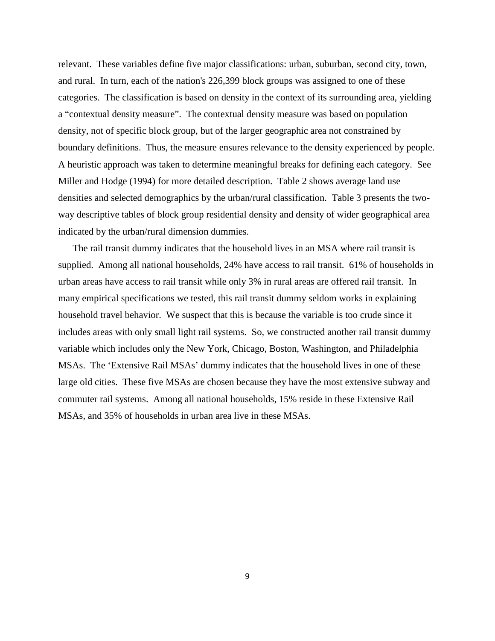relevant. These variables define five major classifications: urban, suburban, second city, town, and rural. In turn, each of the nation's 226,399 block groups was assigned to one of these categories. The classification is based on density in the context of its surrounding area, yielding a "contextual density measure". The contextual density measure was based on population density, not of specific block group, but of the larger geographic area not constrained by boundary definitions. Thus, the measure ensures relevance to the density experienced by people. A heuristic approach was taken to determine meaningful breaks for defining each category. See Miller and Hodge (1994) for more detailed description. Table 2 shows average land use densities and selected demographics by the urban/rural classification. Table 3 presents the twoway descriptive tables of block group residential density and density of wider geographical area indicated by the urban/rural dimension dummies.

The rail transit dummy indicates that the household lives in an MSA where rail transit is supplied. Among all national households, 24% have access to rail transit. 61% of households in urban areas have access to rail transit while only 3% in rural areas are offered rail transit. In many empirical specifications we tested, this rail transit dummy seldom works in explaining household travel behavior. We suspect that this is because the variable is too crude since it includes areas with only small light rail systems. So, we constructed another rail transit dummy variable which includes only the New York, Chicago, Boston, Washington, and Philadelphia MSAs. The 'Extensive Rail MSAs' dummy indicates that the household lives in one of these large old cities. These five MSAs are chosen because they have the most extensive subway and commuter rail systems. Among all national households, 15% reside in these Extensive Rail MSAs, and 35% of households in urban area live in these MSAs.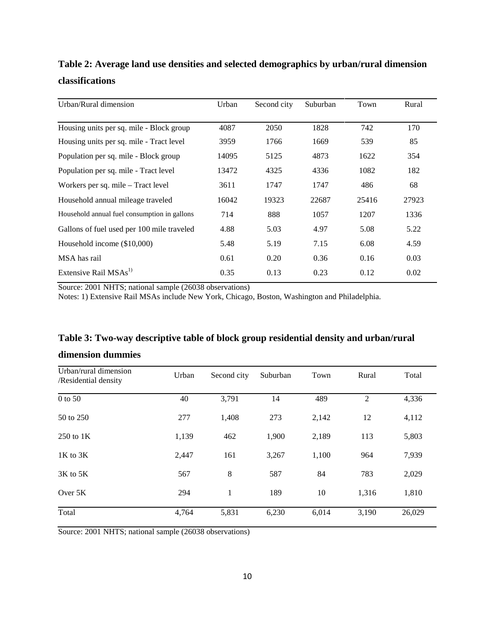| Urban/Rural dimension                        | Urban | Second city | Suburban | Town  | Rural |
|----------------------------------------------|-------|-------------|----------|-------|-------|
|                                              |       |             |          |       |       |
| Housing units per sq. mile - Block group     | 4087  | 2050        | 1828     | 742   | 170   |
| Housing units per sq. mile - Tract level     | 3959  | 1766        | 1669     | 539   | 85    |
| Population per sq. mile - Block group        | 14095 | 5125        | 4873     | 1622  | 354   |
| Population per sq. mile - Tract level        | 13472 | 4325        | 4336     | 1082  | 182   |
| Workers per sq. mile – Tract level           | 3611  | 1747        | 1747     | 486   | 68    |
| Household annual mileage traveled            | 16042 | 19323       | 22687    | 25416 | 27923 |
| Household annual fuel consumption in gallons | 714   | 888         | 1057     | 1207  | 1336  |
| Gallons of fuel used per 100 mile traveled   | 4.88  | 5.03        | 4.97     | 5.08  | 5.22  |
| Household income (\$10,000)                  | 5.48  | 5.19        | 7.15     | 6.08  | 4.59  |
| MSA has rail                                 | 0.61  | 0.20        | 0.36     | 0.16  | 0.03  |
| Extensive Rail MSAs <sup>1)</sup>            | 0.35  | 0.13        | 0.23     | 0.12  | 0.02  |

## **Table 2: Average land use densities and selected demographics by urban/rural dimension classifications**

Source: 2001 NHTS; national sample (26038 observations)

Notes: 1) Extensive Rail MSAs include New York, Chicago, Boston, Washington and Philadelphia.

| dimension dummies                             |                      |          |      |       |       |
|-----------------------------------------------|----------------------|----------|------|-------|-------|
| Urban/rural dimension<br>/Residential density | Second city<br>Urban | Suburban | Town | Rural | Total |
| $0$ to 50                                     | 3.791<br>40          | 14       | 489  |       | 4,336 |

50 to 250 277 1,408 273 2,142 12 4,112

250 to 1K 1,139 462 1,900 2,189 113 5,803

1K to 3K 2,447 161 3,267 1,100 964 7,939

3K to 5K 567 8 587 84 783 2,029

Over 5K 294 1 189 10 1,316 1,810

Total 4,764 5,831 6,230 6,014 3,190 26,029

### **Table 3: Two-way descriptive table of block group residential density and urban/rural**

Source: 2001 NHTS; national sample (26038 observations)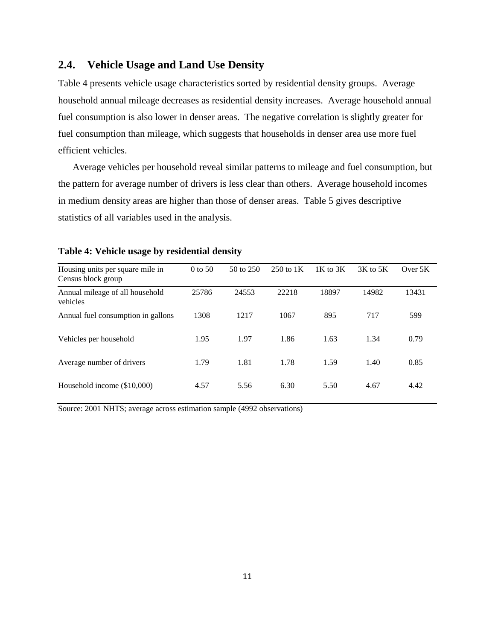### **2.4. Vehicle Usage and Land Use Density**

Table 4 presents vehicle usage characteristics sorted by residential density groups. Average household annual mileage decreases as residential density increases. Average household annual fuel consumption is also lower in denser areas. The negative correlation is slightly greater for fuel consumption than mileage, which suggests that households in denser area use more fuel efficient vehicles.

Average vehicles per household reveal similar patterns to mileage and fuel consumption, but the pattern for average number of drivers is less clear than others. Average household incomes in medium density areas are higher than those of denser areas. Table 5 gives descriptive statistics of all variables used in the analysis.

| Housing units per square mile in<br>Census block group | $0$ to 50 | 50 to 250 | 250 to $1K$ | $1K$ to $3K$ | $3K$ to $5K$ | Over $5K$ |
|--------------------------------------------------------|-----------|-----------|-------------|--------------|--------------|-----------|
| Annual mileage of all household<br>vehicles            | 25786     | 24553     | 22218       | 18897        | 14982        | 13431     |
| Annual fuel consumption in gallons                     | 1308      | 1217      | 1067        | 895          | 717          | 599       |
| Vehicles per household                                 | 1.95      | 1.97      | 1.86        | 1.63         | 1.34         | 0.79      |
| Average number of drivers                              | 1.79      | 1.81      | 1.78        | 1.59         | 1.40         | 0.85      |
| Household income (\$10,000)                            | 4.57      | 5.56      | 6.30        | 5.50         | 4.67         | 4.42      |

#### **Table 4: Vehicle usage by residential density**

Source: 2001 NHTS; average across estimation sample (4992 observations)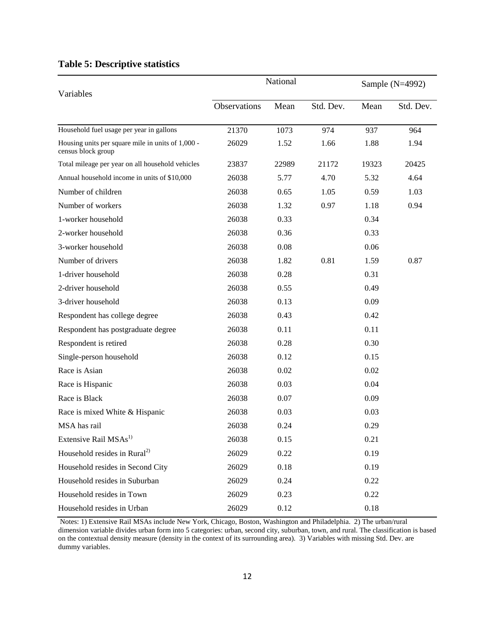|  | <b>Table 5: Descriptive statistics</b> |  |
|--|----------------------------------------|--|
|--|----------------------------------------|--|

| Variables                                                               |              | National |           | Sample $(N=4992)$ |           |  |
|-------------------------------------------------------------------------|--------------|----------|-----------|-------------------|-----------|--|
|                                                                         | Observations | Mean     | Std. Dev. | Mean              | Std. Dev. |  |
| Household fuel usage per year in gallons                                | 21370        | 1073     | 974       | 937               | 964       |  |
| Housing units per square mile in units of 1,000 -<br>census block group | 26029        | 1.52     | 1.66      | 1.88              | 1.94      |  |
| Total mileage per year on all household vehicles                        | 23837        | 22989    | 21172     | 19323             | 20425     |  |
| Annual household income in units of \$10,000                            | 26038        | 5.77     | 4.70      | 5.32              | 4.64      |  |
| Number of children                                                      | 26038        | 0.65     | 1.05      | 0.59              | 1.03      |  |
| Number of workers                                                       | 26038        | 1.32     | 0.97      | 1.18              | 0.94      |  |
| 1-worker household                                                      | 26038        | 0.33     |           | 0.34              |           |  |
| 2-worker household                                                      | 26038        | 0.36     |           | 0.33              |           |  |
| 3-worker household                                                      | 26038        | 0.08     |           | 0.06              |           |  |
| Number of drivers                                                       | 26038        | 1.82     | 0.81      | 1.59              | 0.87      |  |
| 1-driver household                                                      | 26038        | 0.28     |           | 0.31              |           |  |
| 2-driver household                                                      | 26038        | 0.55     |           | 0.49              |           |  |
| 3-driver household                                                      | 26038        | 0.13     |           | 0.09              |           |  |
| Respondent has college degree                                           | 26038        | 0.43     |           | 0.42              |           |  |
| Respondent has postgraduate degree                                      | 26038        | 0.11     |           | 0.11              |           |  |
| Respondent is retired                                                   | 26038        | 0.28     |           | 0.30              |           |  |
| Single-person household                                                 | 26038        | 0.12     |           | 0.15              |           |  |
| Race is Asian                                                           | 26038        | 0.02     |           | 0.02              |           |  |
| Race is Hispanic                                                        | 26038        | 0.03     |           | 0.04              |           |  |
| Race is Black                                                           | 26038        | 0.07     |           | 0.09              |           |  |
| Race is mixed White & Hispanic                                          | 26038        | 0.03     |           | 0.03              |           |  |
| MSA has rail                                                            | 26038        | 0.24     |           | 0.29              |           |  |
| Extensive Rail MSAs <sup>1)</sup>                                       | 26038        | 0.15     |           | 0.21              |           |  |
| Household resides in Rural <sup>2)</sup>                                | 26029        | 0.22     |           | 0.19              |           |  |
| Household resides in Second City                                        | 26029        | 0.18     |           | 0.19              |           |  |
| Household resides in Suburban                                           | 26029        | 0.24     |           | 0.22              |           |  |
| Household resides in Town                                               | 26029        | 0.23     |           | 0.22              |           |  |
| Household resides in Urban                                              | 26029        | 0.12     |           | 0.18              |           |  |

Notes: 1) Extensive Rail MSAs include New York, Chicago, Boston, Washington and Philadelphia. 2) The urban/rural dimension variable divides urban form into 5 categories: urban, second city, suburban, town, and rural. The classification is based on the contextual density measure (density in the context of its surrounding area). 3) Variables with missing Std. Dev. are dummy variables.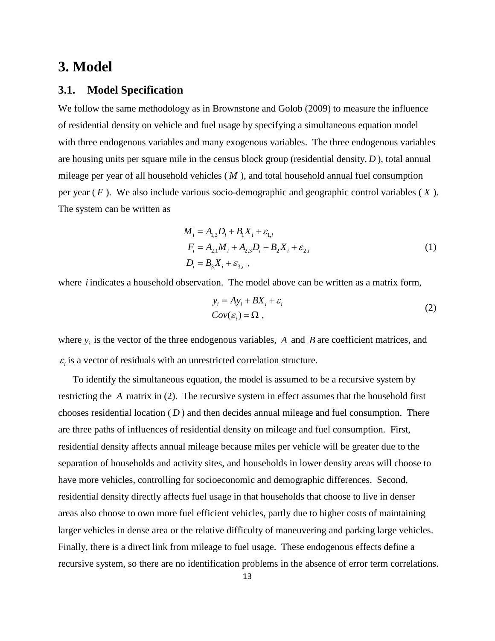## **3. Model**

### **3.1. Model Specification**

We follow the same methodology as in Brownstone and Golob (2009) to measure the influence of residential density on vehicle and fuel usage by specifying a simultaneous equation model with three endogenous variables and many exogenous variables. The three endogenous variables are housing units per square mile in the census block group (residential density, *D* ), total annual mileage per year of all household vehicles ( *M* ), and total household annual fuel consumption per year ( *F* ). We also include various socio-demographic and geographic control variables ( *X* ). The system can be written as

$$
M_{i} = A_{1,3}D_{i} + B_{1}X_{i} + \varepsilon_{1,i}
$$
  
\n
$$
F_{i} = A_{2,1}M_{i} + A_{2,3}D_{i} + B_{2}X_{i} + \varepsilon_{2,i}
$$
  
\n
$$
D_{i} = B_{3}X_{i} + \varepsilon_{3,i}
$$
\n(1)

where *i* indicates a household observation. The model above can be written as a matrix form,

$$
y_i = Ay_i + BX_i + \varepsilon_i
$$
  
\n
$$
Cov(\varepsilon_i) = \Omega,
$$
\n(2)

where  $y_i$  is the vector of the three endogenous variables, *A* and *B* are coefficient matrices, and  $\varepsilon$  is a vector of residuals with an unrestricted correlation structure.

To identify the simultaneous equation, the model is assumed to be a recursive system by restricting the *A* matrix in (2). The recursive system in effect assumes that the household first chooses residential location ( *D* ) and then decides annual mileage and fuel consumption. There are three paths of influences of residential density on mileage and fuel consumption. First, residential density affects annual mileage because miles per vehicle will be greater due to the separation of households and activity sites, and households in lower density areas will choose to have more vehicles, controlling for socioeconomic and demographic differences. Second, residential density directly affects fuel usage in that households that choose to live in denser areas also choose to own more fuel efficient vehicles, partly due to higher costs of maintaining larger vehicles in dense area or the relative difficulty of maneuvering and parking large vehicles. Finally, there is a direct link from mileage to fuel usage. These endogenous effects define a recursive system, so there are no identification problems in the absence of error term correlations.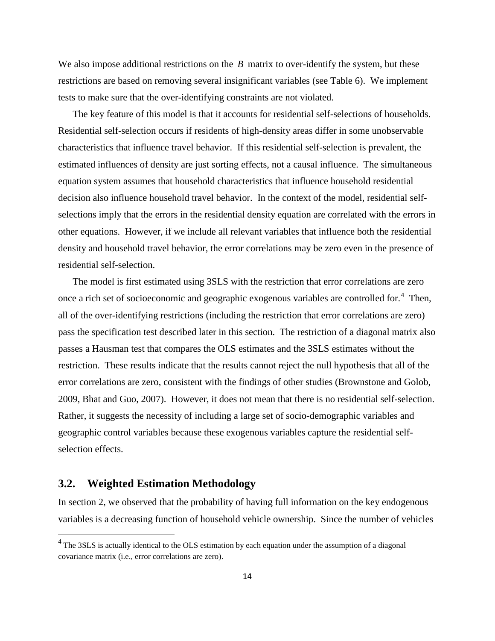We also impose additional restrictions on the *B* matrix to over-identify the system, but these restrictions are based on removing several insignificant variables (see Table 6). We implement tests to make sure that the over-identifying constraints are not violated.

The key feature of this model is that it accounts for residential self-selections of households. Residential self-selection occurs if residents of high-density areas differ in some unobservable characteristics that influence travel behavior. If this residential self-selection is prevalent, the estimated influences of density are just sorting effects, not a causal influence. The simultaneous equation system assumes that household characteristics that influence household residential decision also influence household travel behavior. In the context of the model, residential selfselections imply that the errors in the residential density equation are correlated with the errors in other equations. However, if we include all relevant variables that influence both the residential density and household travel behavior, the error correlations may be zero even in the presence of residential self-selection.

The model is first estimated using 3SLS with the restriction that error correlations are zero once a rich set of socioeconomic and geographic exogenous variables are controlled for.<sup>[4](#page-13-0)</sup> Then, all of the over-identifying restrictions (including the restriction that error correlations are zero) pass the specification test described later in this section. The restriction of a diagonal matrix also passes a Hausman test that compares the OLS estimates and the 3SLS estimates without the restriction. These results indicate that the results cannot reject the null hypothesis that all of the error correlations are zero, consistent with the findings of other studies (Brownstone and Golob, 2009, Bhat and Guo, 2007). However, it does not mean that there is no residential self-selection. Rather, it suggests the necessity of including a large set of socio-demographic variables and geographic control variables because these exogenous variables capture the residential selfselection effects.

#### **3.2. Weighted Estimation Methodology**

In section 2, we observed that the probability of having full information on the key endogenous variables is a decreasing function of household vehicle ownership. Since the number of vehicles

<span id="page-13-0"></span><sup>&</sup>lt;sup>4</sup> The 3SLS is actually identical to the OLS estimation by each equation under the assumption of a diagonal covariance matrix (i.e., error correlations are zero).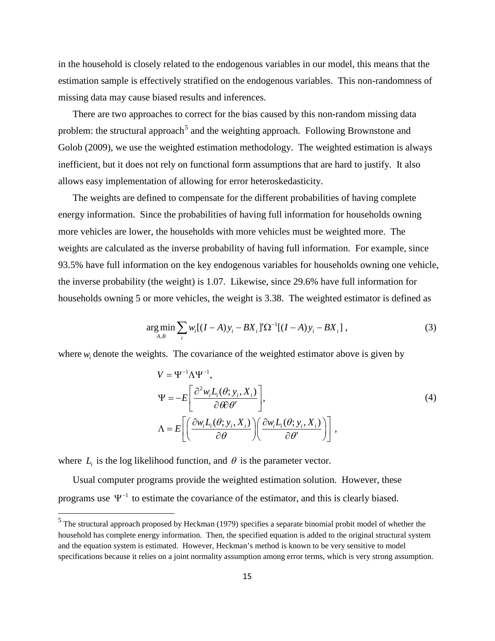in the household is closely related to the endogenous variables in our model, this means that the estimation sample is effectively stratified on the endogenous variables. This non-randomness of missing data may cause biased results and inferences.

There are two approaches to correct for the bias caused by this non-random missing data problem: the structural approach<sup>[5](#page-14-0)</sup> and the weighting approach. Following Brownstone and Golob (2009), we use the weighted estimation methodology. The weighted estimation is always inefficient, but it does not rely on functional form assumptions that are hard to justify. It also allows easy implementation of allowing for error heteroskedasticity.

The weights are defined to compensate for the different probabilities of having complete energy information. Since the probabilities of having full information for households owning more vehicles are lower, the households with more vehicles must be weighted more. The weights are calculated as the inverse probability of having full information. For example, since 93.5% have full information on the key endogenous variables for households owning one vehicle, the inverse probability (the weight) is 1.07. Likewise, since 29.6% have full information for households owning 5 or more vehicles, the weight is 3.38. The weighted estimator is defined as

$$
\underset{A,B}{\arg\min} \sum_{i} w_i [(I - A) y_i - BX_i]' \Omega^{-1} [(I - A) y_i - BX_i], \qquad (3)
$$

where *w* denote the weights. The covariance of the weighted estimator above is given by

$$
V = \Psi^{-1} \Lambda \Psi^{-1},
$$
  
\n
$$
\Psi = -E \left[ \frac{\partial^2 w_i L_i(\theta; y_i, X_i)}{\partial \theta \partial \theta'} \right],
$$
  
\n
$$
\Lambda = E \left[ \left( \frac{\partial w_i L_i(\theta; y_i, X_i)}{\partial \theta} \right) \left( \frac{\partial w_i L_i(\theta; y_i, X_i)}{\partial \theta'} \right) \right],
$$
\n(4)

where  $L_i$  is the log likelihood function, and  $\theta$  is the parameter vector.

Usual computer programs provide the weighted estimation solution. However, these programs use  $\Psi^{-1}$  to estimate the covariance of the estimator, and this is clearly biased.

<span id="page-14-0"></span><sup>5</sup> The structural approach proposed by Heckman (1979) specifies a separate binomial probit model of whether the household has complete energy information. Then, the specified equation is added to the original structural system and the equation system is estimated. However, Heckman's method is known to be very sensitive to model specifications because it relies on a joint normality assumption among error terms, which is very strong assumption.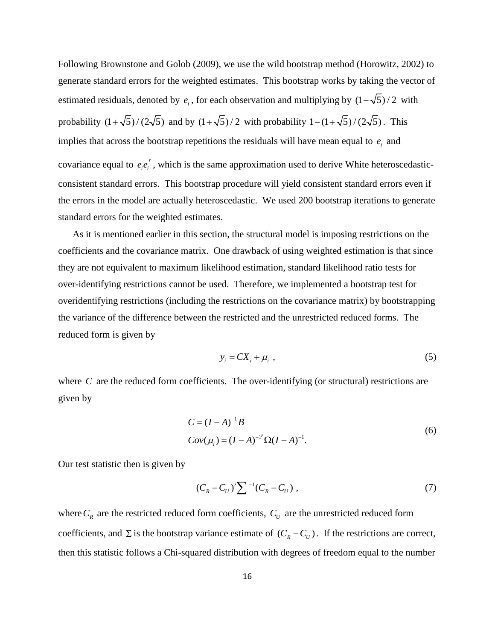Following Brownstone and Golob (2009), we use the wild bootstrap method (Horowitz, 2002) to generate standard errors for the weighted estimates. This bootstrap works by taking the vector of estimated residuals, denoted by  $e_i$ , for each observation and multiplying by  $(1 - \sqrt{5})/2$  with probability  $(1 + \sqrt{5}) / (2\sqrt{5})$  and by  $(1 + \sqrt{5}) / 2$  with probability  $1 - (1 + \sqrt{5}) / (2\sqrt{5})$ . This implies that across the bootstrap repetitions the residuals will have mean equal to  $e_i$  and covariance equal to  $e_i e_i'$ , which is the same approximation used to derive White heteroscedasticconsistent standard errors. This bootstrap procedure will yield consistent standard errors even if the errors in the model are actually heteroscedastic. We used 200 bootstrap iterations to generate standard errors for the weighted estimates.

As it is mentioned earlier in this section, the structural model is imposing restrictions on the coefficients and the covariance matrix. One drawback of using weighted estimation is that since they are not equivalent to maximum likelihood estimation, standard likelihood ratio tests for over-identifying restrictions cannot be used. Therefore, we implemented a bootstrap test for overidentifying restrictions (including the restrictions on the covariance matrix) by bootstrapping the variance of the difference between the restricted and the unrestricted reduced forms. The reduced form is given by

$$
y_i = CX_i + \mu_i \tag{5}
$$

where *C* are the reduced form coefficients. The over-identifying (or structural) restrictions are given by

$$
C = (I - A)^{-1}B
$$
  
\n
$$
Cov(\mu_i) = (I - A)^{-1'}\Omega(I - A)^{-1}.
$$
\n(6)

Our test statistic then is given by

$$
(C_R - C_U)' \sum^{-1} (C_R - C_U) , \qquad (7)
$$

where  $C_R$  are the restricted reduced form coefficients,  $C_U$  are the unrestricted reduced form coefficients, and  $\Sigma$  is the bootstrap variance estimate of  $(C_R - C_U)$ . If the restrictions are correct, then this statistic follows a Chi-squared distribution with degrees of freedom equal to the number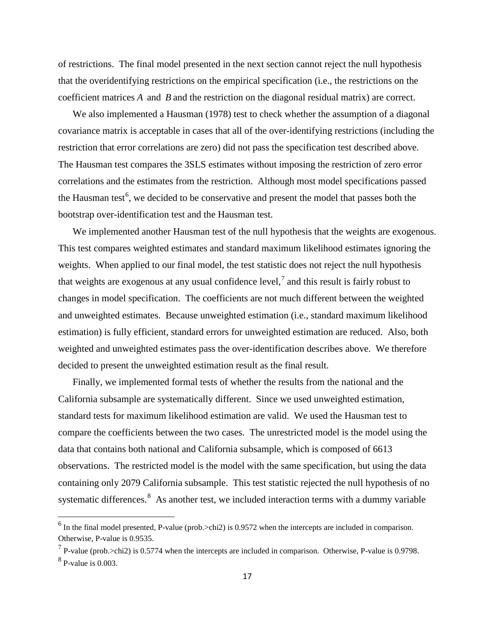of restrictions. The final model presented in the next section cannot reject the null hypothesis that the overidentifying restrictions on the empirical specification (i.e., the restrictions on the coefficient matrices *A* and *B* and the restriction on the diagonal residual matrix) are correct.

We also implemented a Hausman (1978) test to check whether the assumption of a diagonal covariance matrix is acceptable in cases that all of the over-identifying restrictions (including the restriction that error correlations are zero) did not pass the specification test described above. The Hausman test compares the 3SLS estimates without imposing the restriction of zero error correlations and the estimates from the restriction. Although most model specifications passed the Hausman test<sup>[6](#page-16-0)</sup>, we decided to be conservative and present the model that passes both the bootstrap over-identification test and the Hausman test.

We implemented another Hausman test of the null hypothesis that the weights are exogenous. This test compares weighted estimates and standard maximum likelihood estimates ignoring the weights. When applied to our final model, the test statistic does not reject the null hypothesis that weights are exogenous at any usual confidence level,<sup>[7](#page-16-1)</sup> and this result is fairly robust to changes in model specification. The coefficients are not much different between the weighted and unweighted estimates. Because unweighted estimation (i.e., standard maximum likelihood estimation) is fully efficient, standard errors for unweighted estimation are reduced. Also, both weighted and unweighted estimates pass the over-identification describes above. We therefore decided to present the unweighted estimation result as the final result.

Finally, we implemented formal tests of whether the results from the national and the California subsample are systematically different. Since we used unweighted estimation, standard tests for maximum likelihood estimation are valid. We used the Hausman test to compare the coefficients between the two cases. The unrestricted model is the model using the data that contains both national and California subsample, which is composed of 6613 observations. The restricted model is the model with the same specification, but using the data containing only 2079 California subsample. This test statistic rejected the null hypothesis of no systematic differences. $8$  As another test, we included interaction terms with a dummy variable

<span id="page-16-0"></span> $<sup>6</sup>$  In the final model presented, P-value (prob.>chi2) is 0.9572 when the intercepts are included in comparison.</sup> Otherwise, P-value is 0.9535.

<span id="page-16-1"></span><sup>&</sup>lt;sup>7</sup> P-value (prob.>chi2) is 0.5774 when the intercepts are included in comparison. Otherwise, P-value is 0.9798.

<span id="page-16-2"></span> $8$  P-value is 0.003.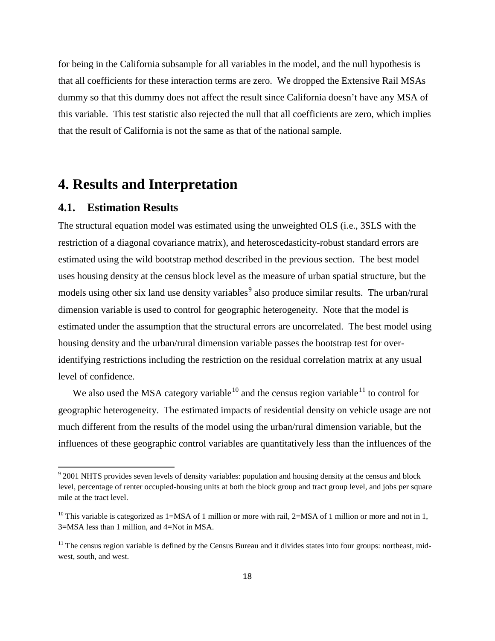for being in the California subsample for all variables in the model, and the null hypothesis is that all coefficients for these interaction terms are zero. We dropped the Extensive Rail MSAs dummy so that this dummy does not affect the result since California doesn't have any MSA of this variable. This test statistic also rejected the null that all coefficients are zero, which implies that the result of California is not the same as that of the national sample.

## **4. Results and Interpretation**

### **4.1. Estimation Results**

l

The structural equation model was estimated using the unweighted OLS (i.e., 3SLS with the restriction of a diagonal covariance matrix), and heteroscedasticity-robust standard errors are estimated using the wild bootstrap method described in the previous section. The best model uses housing density at the census block level as the measure of urban spatial structure, but the models using other six land use density variables<sup>[9](#page-17-0)</sup> also produce similar results. The urban/rural dimension variable is used to control for geographic heterogeneity. Note that the model is estimated under the assumption that the structural errors are uncorrelated. The best model using housing density and the urban/rural dimension variable passes the bootstrap test for overidentifying restrictions including the restriction on the residual correlation matrix at any usual level of confidence.

We also used the MSA category variable<sup>[10](#page-17-1)</sup> and the census region variable<sup>[11](#page-17-2)</sup> to control for geographic heterogeneity. The estimated impacts of residential density on vehicle usage are not much different from the results of the model using the urban/rural dimension variable, but the influences of these geographic control variables are quantitatively less than the influences of the

<span id="page-17-0"></span><sup>&</sup>lt;sup>9</sup> 2001 NHTS provides seven levels of density variables: population and housing density at the census and block level, percentage of renter occupied-housing units at both the block group and tract group level, and jobs per square mile at the tract level.

<span id="page-17-1"></span><sup>&</sup>lt;sup>10</sup> This variable is categorized as  $1=MSA$  of 1 million or more with rail,  $2=MSA$  of 1 million or more and not in 1, 3=MSA less than 1 million, and 4=Not in MSA.

<span id="page-17-2"></span> $11$  The census region variable is defined by the Census Bureau and it divides states into four groups: northeast, midwest, south, and west.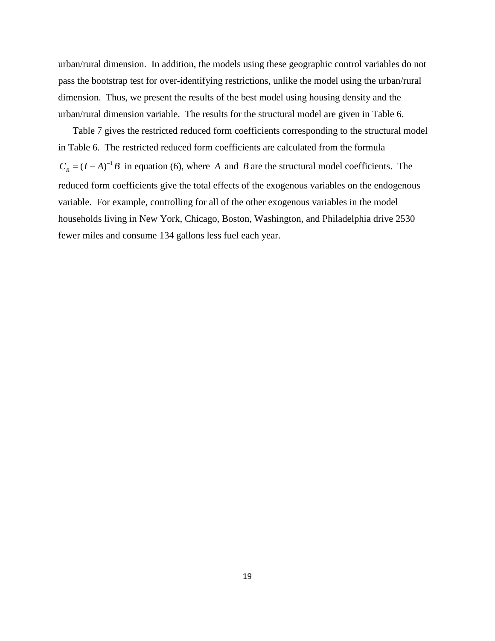urban/rural dimension. In addition, the models using these geographic control variables do not pass the bootstrap test for over-identifying restrictions, unlike the model using the urban/rural dimension. Thus, we present the results of the best model using housing density and the urban/rural dimension variable. The results for the structural model are given in Table 6.

Table 7 gives the restricted reduced form coefficients corresponding to the structural model in Table 6. The restricted reduced form coefficients are calculated from the formula  $C_R = (I - A)^{-1}B$  in equation (6), where *A* and *B* are the structural model coefficients. The reduced form coefficients give the total effects of the exogenous variables on the endogenous variable. For example, controlling for all of the other exogenous variables in the model households living in New York, Chicago, Boston, Washington, and Philadelphia drive 2530 fewer miles and consume 134 gallons less fuel each year.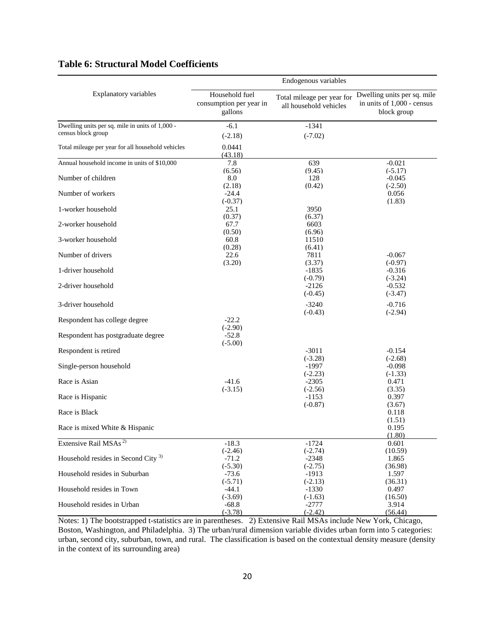|                                                   |                                                      | Endogenous variables                                 |                                                                          |
|---------------------------------------------------|------------------------------------------------------|------------------------------------------------------|--------------------------------------------------------------------------|
| <b>Explanatory variables</b>                      | Household fuel<br>consumption per year in<br>gallons | Total mileage per year for<br>all household vehicles | Dwelling units per sq. mile<br>in units of 1,000 - census<br>block group |
| Dwelling units per sq. mile in units of 1,000 -   | $-6.1$                                               | $-1341$                                              |                                                                          |
| census block group                                | $(-2.18)$                                            | $(-7.02)$                                            |                                                                          |
| Total mileage per year for all household vehicles | 0.0441<br>(43.18)                                    |                                                      |                                                                          |
| Annual household income in units of \$10,000      | 7.8                                                  | 639                                                  | $-0.021$                                                                 |
| Number of children                                | (6.56)<br>8.0<br>(2.18)                              | (9.45)<br>128<br>(0.42)                              | $(-5.17)$<br>$-0.045$                                                    |
| Number of workers                                 | $-24.4$<br>$(-0.37)$                                 |                                                      | $(-2.50)$<br>0.056<br>(1.83)                                             |
| 1-worker household                                | 25.1                                                 | 3950                                                 |                                                                          |
| 2-worker household                                | (0.37)<br>67.7                                       | (6.37)<br>6603                                       |                                                                          |
| 3-worker household                                | (0.50)<br>60.8<br>(0.28)                             | (6.96)<br>11510<br>(6.41)                            |                                                                          |
| Number of drivers                                 | 22.6                                                 | 7811                                                 | $-0.067$                                                                 |
| 1-driver household                                | (3.20)                                               | (3.37)<br>$-1835$<br>$(-0.79)$                       | $(-0.97)$<br>$-0.316$<br>$(-3.24)$                                       |
| 2-driver household                                |                                                      | $-2126$<br>$(-0.45)$                                 | $-0.532$<br>$(-3.47)$                                                    |
| 3-driver household                                |                                                      | $-3240$<br>$(-0.43)$                                 | $-0.716$<br>$(-2.94)$                                                    |
| Respondent has college degree                     | $-22.2$<br>$(-2.90)$                                 |                                                      |                                                                          |
| Respondent has postgraduate degree                | $-52.8$<br>$(-5.00)$                                 |                                                      |                                                                          |
| Respondent is retired                             |                                                      | $-3011$                                              | $-0.154$                                                                 |
| Single-person household                           |                                                      | $(-3.28)$<br>$-1997$                                 | $(-2.68)$<br>$-0.098$                                                    |
|                                                   |                                                      | $(-2.23)$                                            | $(-1.33)$                                                                |
| Race is Asian                                     | $-41.6$                                              | $-2305$                                              | 0.471                                                                    |
| Race is Hispanic                                  | $(-3.15)$                                            | $(-2.56)$<br>$-1153$                                 | (3.35)<br>0.397                                                          |
| Race is Black                                     |                                                      | $(-0.87)$                                            | (3.67)<br>0.118<br>(1.51)                                                |
| Race is mixed White & Hispanic                    |                                                      |                                                      | 0.195<br>(1.80)                                                          |
| Extensive Rail MSAs <sup>2)</sup>                 | $-18.3$                                              | $-1724$                                              | 0.601                                                                    |
| Household resides in Second City <sup>3)</sup>    | $(-2.46)$                                            | $(-2.74)$                                            | (10.59)                                                                  |
|                                                   | $-71.2$<br>$(-5.30)$                                 | $-2348$<br>$(-2.75)$                                 | 1.865<br>(36.98)                                                         |
| Household resides in Suburban                     | $-73.6$                                              | $-1913$                                              | 1.597                                                                    |
|                                                   | $(-5.71)$                                            | $(-2.13)$                                            | (36.31)                                                                  |
| Household resides in Town                         | $-44.1$<br>$(-3.69)$                                 | $-1330$<br>$(-1.63)$                                 | 0.497<br>(16.50)                                                         |
| Household resides in Urban                        | $-68.8$<br>$(-3.78)$                                 | $-2777$<br>$(-2.42)$                                 | 3.914<br>(56.44)                                                         |

### **Table 6: Structural Model Coefficients**

Notes: 1) The bootstrapped t-statistics are in parentheses. 2) Extensive Rail MSAs include New York, Chicago, Boston, Washington, and Philadelphia. 3) The urban/rural dimension variable divides urban form into 5 categories: urban, second city, suburban, town, and rural. The classification is based on the contextual density measure (density in the context of its surrounding area)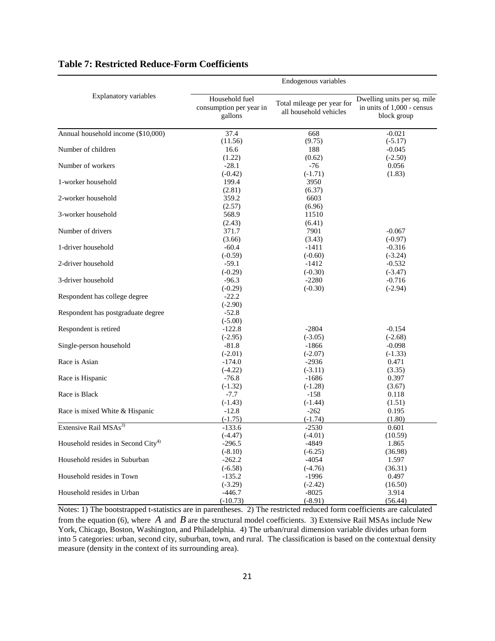|                                                |                                                      | Endogenous variables                                 |                                                                          |
|------------------------------------------------|------------------------------------------------------|------------------------------------------------------|--------------------------------------------------------------------------|
| <b>Explanatory variables</b>                   | Household fuel<br>consumption per year in<br>gallons | Total mileage per year for<br>all household vehicles | Dwelling units per sq. mile<br>in units of 1,000 - census<br>block group |
| Annual household income (\$10,000)             | 37.4                                                 | 668                                                  | $-0.021$                                                                 |
| Number of children                             | (11.56)                                              | (9.75)                                               | $(-5.17)$                                                                |
|                                                | 16.6                                                 | 188                                                  | $-0.045$                                                                 |
| Number of workers                              | (1.22)                                               | (0.62)                                               | $(-2.50)$                                                                |
|                                                | $-28.1$                                              | $-76$                                                | 0.056                                                                    |
| 1-worker household                             | $(-0.42)$<br>199.4                                   | $(-1.71)$<br>3950                                    | (1.83)                                                                   |
| 2-worker household                             | (2.81)<br>359.2<br>(2.57)                            | (6.37)<br>6603<br>(6.96)                             |                                                                          |
| 3-worker household                             | 568.9<br>(2.43)                                      | 11510<br>(6.41)                                      |                                                                          |
| Number of drivers                              | 371.7                                                | 7901                                                 | $-0.067$                                                                 |
|                                                | (3.66)                                               | (3.43)                                               | $(-0.97)$                                                                |
| 1-driver household                             | $-60.4$                                              | $-1411$                                              | $-0.316$                                                                 |
|                                                | $(-0.59)$                                            | $(-0.60)$                                            | $(-3.24)$                                                                |
| 2-driver household                             | $-59.1$                                              | $-1412$                                              | $-0.532$                                                                 |
|                                                | $(-0.29)$                                            | $(-0.30)$                                            | $(-3.47)$                                                                |
| 3-driver household                             | $-96.3$                                              | $-2280$                                              | $-0.716$                                                                 |
|                                                | $(-0.29)$                                            | $(-0.30)$                                            | $(-2.94)$                                                                |
| Respondent has college degree                  | $-22.2$<br>$(-2.90)$                                 |                                                      |                                                                          |
| Respondent has postgraduate degree             | $-52.8$<br>$(-5.00)$                                 |                                                      |                                                                          |
| Respondent is retired                          | $-122.8$                                             | $-2804$                                              | $-0.154$                                                                 |
|                                                | $(-2.95)$                                            | $(-3.05)$                                            | $(-2.68)$                                                                |
| Single-person household                        | $-81.8$                                              | $-1866$                                              | $-0.098$                                                                 |
|                                                | $(-2.01)$                                            | $(-2.07)$                                            | $(-1.33)$                                                                |
| Race is Asian                                  | $-174.0$                                             | $-2936$                                              | 0.471                                                                    |
|                                                | $(-4.22)$                                            | $(-3.11)$                                            | (3.35)                                                                   |
| Race is Hispanic                               | $-76.8$                                              | $-1686$                                              | 0.397                                                                    |
|                                                | $(-1.32)$                                            | $(-1.28)$                                            | (3.67)                                                                   |
| Race is Black                                  | $-7.7$                                               | $-158$                                               | 0.118                                                                    |
|                                                | $(-1.43)$                                            | $(-1.44)$                                            | (1.51)                                                                   |
| Race is mixed White & Hispanic                 | $-12.8$                                              | $-262$                                               | 0.195                                                                    |
|                                                | $(-1.75)$                                            | $(-1.74)$                                            | (1.80)                                                                   |
| Extensive Rail MSAs <sup>3)</sup>              | $-133.6$                                             | $-2530$                                              | 0.601<br>(10.59)                                                         |
| Household resides in Second City <sup>4)</sup> | $(-4.47)$<br>$-296.5$<br>$(-8.10)$                   | $(-4.01)$<br>-4849<br>$(-6.25)$                      | 1.865<br>(36.98)                                                         |
| Household resides in Suburban                  | $-262.2$                                             | $-4054$                                              | 1.597                                                                    |
| Household resides in Town                      | $(-6.58)$                                            | $(-4.76)$                                            | (36.31)                                                                  |
|                                                | $-135.2$                                             | $-1996$                                              | 0.497                                                                    |
| Household resides in Urban                     | $(-3.29)$                                            | $(-2.42)$                                            | (16.50)                                                                  |
|                                                | $-446.7$                                             | $-8025$                                              | 3.914                                                                    |
|                                                | $(-10.73)$                                           | $(-8.91)$                                            | (56.44)                                                                  |

### **Table 7: Restricted Reduce-Form Coefficients**

Notes: 1) The bootstrapped t-statistics are in parentheses. 2) The restricted reduced form coefficients are calculated from the equation (6), where *A* and *B* are the structural model coefficients. 3) Extensive Rail MSAs include New York, Chicago, Boston, Washington, and Philadelphia. 4) The urban/rural dimension variable divides urban form into 5 categories: urban, second city, suburban, town, and rural. The classification is based on the contextual density measure (density in the context of its surrounding area).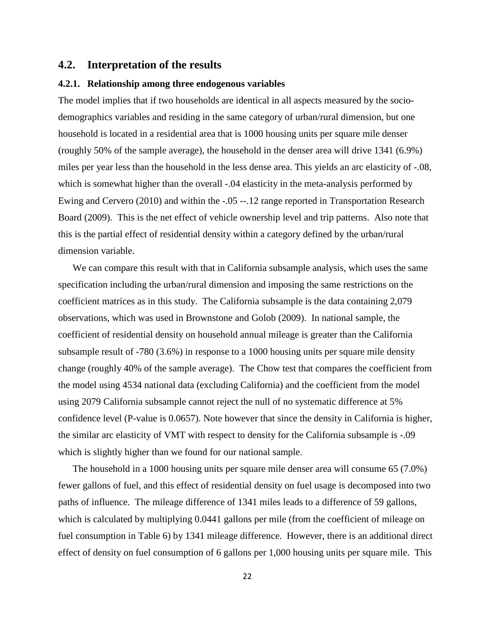#### **4.2. Interpretation of the results**

#### **4.2.1. Relationship among three endogenous variables**

The model implies that if two households are identical in all aspects measured by the sociodemographics variables and residing in the same category of urban/rural dimension, but one household is located in a residential area that is 1000 housing units per square mile denser (roughly 50% of the sample average), the household in the denser area will drive 1341 (6.9%) miles per year less than the household in the less dense area. This yields an arc elasticity of -.08, which is somewhat higher than the overall -.04 elasticity in the meta-analysis performed by Ewing and Cervero (2010) and within the -.05 --.12 range reported in Transportation Research Board (2009). This is the net effect of vehicle ownership level and trip patterns. Also note that this is the partial effect of residential density within a category defined by the urban/rural dimension variable.

We can compare this result with that in California subsample analysis, which uses the same specification including the urban/rural dimension and imposing the same restrictions on the coefficient matrices as in this study. The California subsample is the data containing 2,079 observations, which was used in Brownstone and Golob (2009). In national sample, the coefficient of residential density on household annual mileage is greater than the California subsample result of -780 (3.6%) in response to a 1000 housing units per square mile density change (roughly 40% of the sample average). The Chow test that compares the coefficient from the model using 4534 national data (excluding California) and the coefficient from the model using 2079 California subsample cannot reject the null of no systematic difference at 5% confidence level (P-value is 0.0657). Note however that since the density in California is higher, the similar arc elasticity of VMT with respect to density for the California subsample is -.09 which is slightly higher than we found for our national sample.

The household in a 1000 housing units per square mile denser area will consume 65 (7.0%) fewer gallons of fuel, and this effect of residential density on fuel usage is decomposed into two paths of influence. The mileage difference of 1341 miles leads to a difference of 59 gallons, which is calculated by multiplying 0.0441 gallons per mile (from the coefficient of mileage on fuel consumption in Table 6) by 1341 mileage difference. However, there is an additional direct effect of density on fuel consumption of 6 gallons per 1,000 housing units per square mile. This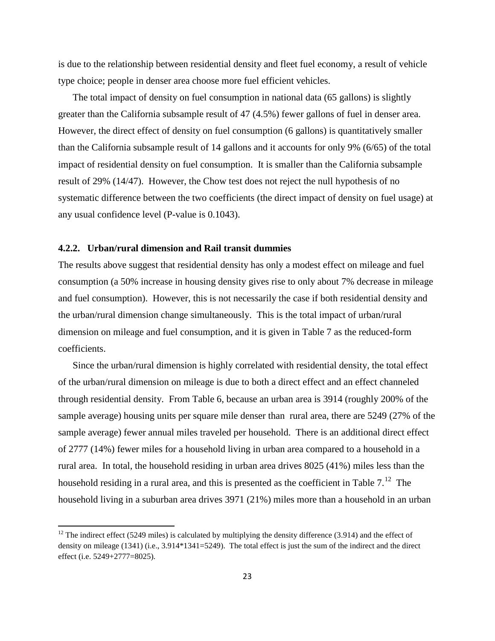is due to the relationship between residential density and fleet fuel economy, a result of vehicle type choice; people in denser area choose more fuel efficient vehicles.

The total impact of density on fuel consumption in national data (65 gallons) is slightly greater than the California subsample result of 47 (4.5%) fewer gallons of fuel in denser area. However, the direct effect of density on fuel consumption (6 gallons) is quantitatively smaller than the California subsample result of 14 gallons and it accounts for only 9% (6/65) of the total impact of residential density on fuel consumption. It is smaller than the California subsample result of 29% (14/47). However, the Chow test does not reject the null hypothesis of no systematic difference between the two coefficients (the direct impact of density on fuel usage) at any usual confidence level (P-value is 0.1043).

#### **4.2.2. Urban/rural dimension and Rail transit dummies**

 $\overline{\phantom{a}}$ 

The results above suggest that residential density has only a modest effect on mileage and fuel consumption (a 50% increase in housing density gives rise to only about 7% decrease in mileage and fuel consumption). However, this is not necessarily the case if both residential density and the urban/rural dimension change simultaneously. This is the total impact of urban/rural dimension on mileage and fuel consumption, and it is given in Table 7 as the reduced-form coefficients.

Since the urban/rural dimension is highly correlated with residential density, the total effect of the urban/rural dimension on mileage is due to both a direct effect and an effect channeled through residential density. From Table 6, because an urban area is 3914 (roughly 200% of the sample average) housing units per square mile denser than rural area, there are 5249 (27% of the sample average) fewer annual miles traveled per household. There is an additional direct effect of 2777 (14%) fewer miles for a household living in urban area compared to a household in a rural area. In total, the household residing in urban area drives 8025 (41%) miles less than the household residing in a rural area, and this is presented as the coefficient in Table  $7<sup>12</sup>$  $7<sup>12</sup>$  $7<sup>12</sup>$  The household living in a suburban area drives 3971 (21%) miles more than a household in an urban

<span id="page-22-0"></span> $12$  The indirect effect (5249 miles) is calculated by multiplying the density difference (3.914) and the effect of density on mileage (1341) (i.e., 3.914\*1341=5249). The total effect is just the sum of the indirect and the direct effect (i.e. 5249+2777=8025).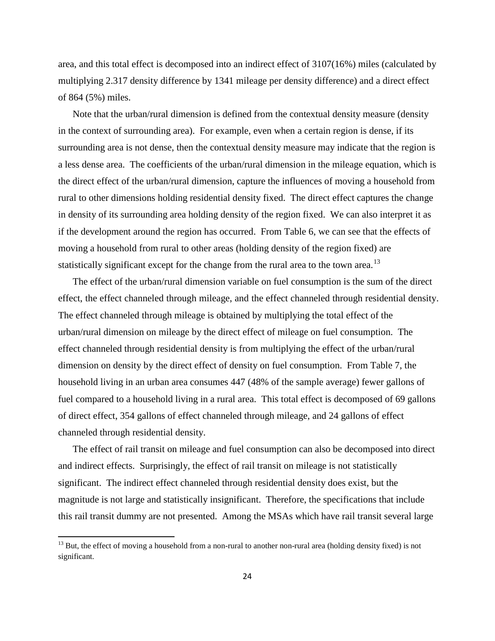area, and this total effect is decomposed into an indirect effect of 3107(16%) miles (calculated by multiplying 2.317 density difference by 1341 mileage per density difference) and a direct effect of 864 (5%) miles.

Note that the urban/rural dimension is defined from the contextual density measure (density in the context of surrounding area). For example, even when a certain region is dense, if its surrounding area is not dense, then the contextual density measure may indicate that the region is a less dense area. The coefficients of the urban/rural dimension in the mileage equation, which is the direct effect of the urban/rural dimension, capture the influences of moving a household from rural to other dimensions holding residential density fixed. The direct effect captures the change in density of its surrounding area holding density of the region fixed. We can also interpret it as if the development around the region has occurred. From Table 6, we can see that the effects of moving a household from rural to other areas (holding density of the region fixed) are statistically significant except for the change from the rural area to the town area.<sup>[13](#page-23-0)</sup>

The effect of the urban/rural dimension variable on fuel consumption is the sum of the direct effect, the effect channeled through mileage, and the effect channeled through residential density. The effect channeled through mileage is obtained by multiplying the total effect of the urban/rural dimension on mileage by the direct effect of mileage on fuel consumption. The effect channeled through residential density is from multiplying the effect of the urban/rural dimension on density by the direct effect of density on fuel consumption. From Table 7, the household living in an urban area consumes 447 (48% of the sample average) fewer gallons of fuel compared to a household living in a rural area. This total effect is decomposed of 69 gallons of direct effect, 354 gallons of effect channeled through mileage, and 24 gallons of effect channeled through residential density.

The effect of rail transit on mileage and fuel consumption can also be decomposed into direct and indirect effects. Surprisingly, the effect of rail transit on mileage is not statistically significant. The indirect effect channeled through residential density does exist, but the magnitude is not large and statistically insignificant. Therefore, the specifications that include this rail transit dummy are not presented. Among the MSAs which have rail transit several large

 $\overline{\phantom{a}}$ 

<span id="page-23-0"></span> $13$  But, the effect of moving a household from a non-rural to another non-rural area (holding density fixed) is not significant.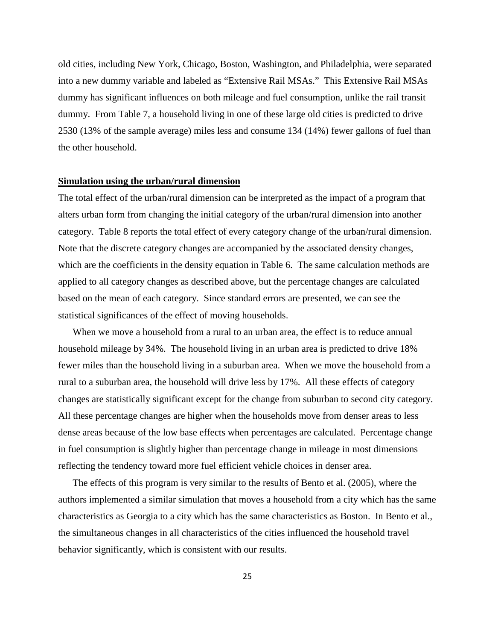old cities, including New York, Chicago, Boston, Washington, and Philadelphia, were separated into a new dummy variable and labeled as "Extensive Rail MSAs." This Extensive Rail MSAs dummy has significant influences on both mileage and fuel consumption, unlike the rail transit dummy. From Table 7, a household living in one of these large old cities is predicted to drive 2530 (13% of the sample average) miles less and consume 134 (14%) fewer gallons of fuel than the other household.

#### **Simulation using the urban/rural dimension**

The total effect of the urban/rural dimension can be interpreted as the impact of a program that alters urban form from changing the initial category of the urban/rural dimension into another category. Table 8 reports the total effect of every category change of the urban/rural dimension. Note that the discrete category changes are accompanied by the associated density changes, which are the coefficients in the density equation in Table 6. The same calculation methods are applied to all category changes as described above, but the percentage changes are calculated based on the mean of each category. Since standard errors are presented, we can see the statistical significances of the effect of moving households.

When we move a household from a rural to an urban area, the effect is to reduce annual household mileage by 34%. The household living in an urban area is predicted to drive 18% fewer miles than the household living in a suburban area. When we move the household from a rural to a suburban area, the household will drive less by 17%. All these effects of category changes are statistically significant except for the change from suburban to second city category. All these percentage changes are higher when the households move from denser areas to less dense areas because of the low base effects when percentages are calculated. Percentage change in fuel consumption is slightly higher than percentage change in mileage in most dimensions reflecting the tendency toward more fuel efficient vehicle choices in denser area.

The effects of this program is very similar to the results of Bento et al. (2005), where the authors implemented a similar simulation that moves a household from a city which has the same characteristics as Georgia to a city which has the same characteristics as Boston. In Bento et al., the simultaneous changes in all characteristics of the cities influenced the household travel behavior significantly, which is consistent with our results.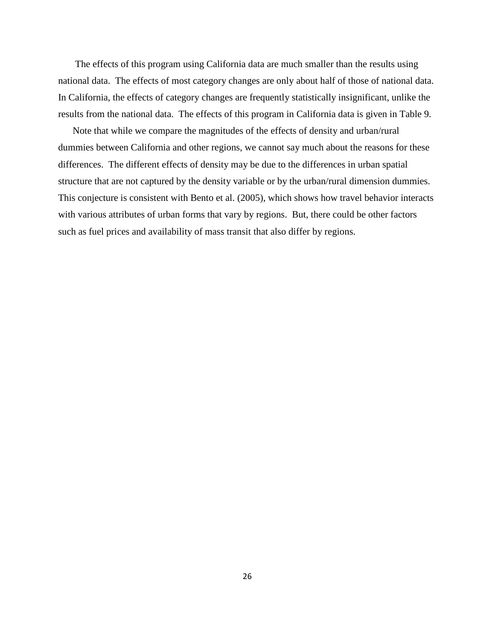The effects of this program using California data are much smaller than the results using national data. The effects of most category changes are only about half of those of national data. In California, the effects of category changes are frequently statistically insignificant, unlike the results from the national data. The effects of this program in California data is given in Table 9.

Note that while we compare the magnitudes of the effects of density and urban/rural dummies between California and other regions, we cannot say much about the reasons for these differences. The different effects of density may be due to the differences in urban spatial structure that are not captured by the density variable or by the urban/rural dimension dummies. This conjecture is consistent with Bento et al. (2005), which shows how travel behavior interacts with various attributes of urban forms that vary by regions. But, there could be other factors such as fuel prices and availability of mass transit that also differ by regions.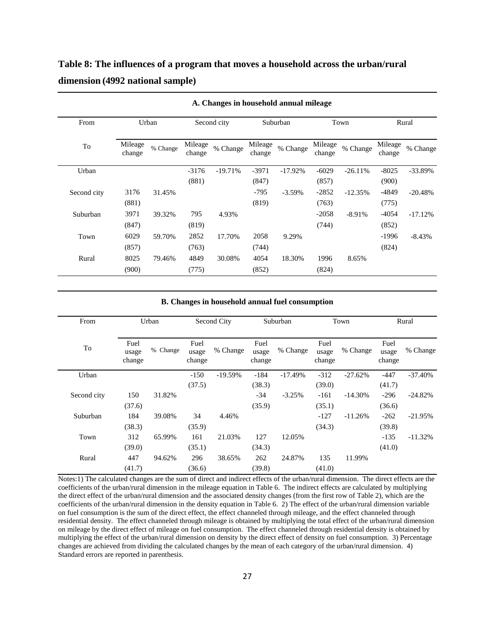## **Table 8: The influences of a program that moves a household across the urban/rural dimension (4992 national sample)**

| From        |                   | Urban    |                   | Second city |                   | Suburban  |                   | Town      | Rural             |           |
|-------------|-------------------|----------|-------------------|-------------|-------------------|-----------|-------------------|-----------|-------------------|-----------|
| To          | Mileage<br>change | % Change | Mileage<br>change | % Change    | Mileage<br>change | % Change  | Mileage<br>change | % Change  | Mileage<br>change | % Change  |
| Urban       |                   |          | $-3176$           | $-19.71%$   | $-3971$           | $-17.92%$ | $-6029$           | $-26.11%$ | $-8025$           | $-33.89%$ |
|             |                   |          | (881)             |             | (847)             |           | (857)             |           | (900)             |           |
| Second city | 3176              | 31.45%   |                   |             | $-795$            | $-3.59%$  | $-2852$           | $-12.35%$ | -4849             | $-20.48%$ |
|             | (881)             |          |                   |             | (819)             |           | (763)             |           | (775)             |           |
| Suburban    | 3971              | 39.32%   | 795               | 4.93%       |                   |           | $-2058$           | $-8.91\%$ | -4054             | $-17.12%$ |
|             | (847)             |          | (819)             |             |                   |           | (744)             |           | (852)             |           |
| Town        | 6029              | 59.70%   | 2852              | 17.70%      | 2058              | 9.29%     |                   |           | -1996             | $-8.43%$  |
|             | (857)             |          | (763)             |             | (744)             |           |                   |           | (824)             |           |
| Rural       | 8025              | 79.46%   | 4849              | 30.08%      | 4054              | 18.30%    | 1996              | 8.65%     |                   |           |
|             | (900)             |          | (775)             |             | (852)             |           | (824)             |           |                   |           |

**A. Changes in household annual mileage**

#### **B. Changes in household annual fuel consumption**

| From        |                         | Urban    |                         | Second City |                         | Suburban  |                         | Town       |                         | Rural      |
|-------------|-------------------------|----------|-------------------------|-------------|-------------------------|-----------|-------------------------|------------|-------------------------|------------|
| To          | Fuel<br>usage<br>change | % Change | Fuel<br>usage<br>change | % Change    | Fuel<br>usage<br>change | % Change  | Fuel<br>usage<br>change | % Change   | Fuel<br>usage<br>change | % Change   |
| Urban       |                         |          | $-150$                  | $-19.59%$   | $-184$                  | $-17.49%$ | $-312$                  | $-27.62%$  | $-447$                  | $-37.40\%$ |
|             |                         |          | (37.5)                  |             | (38.3)                  |           | (39.0)                  |            | (41.7)                  |            |
| Second city | 150                     | 31.82%   |                         |             | $-34$                   | $-3.25%$  | $-161$                  | $-14.30\%$ | $-296$                  | $-24.82%$  |
|             | (37.6)                  |          |                         |             | (35.9)                  |           | (35.1)                  |            | (36.6)                  |            |
| Suburban    | 184                     | 39.08%   | 34                      | 4.46%       |                         |           | $-127$                  | $-11.26%$  | $-262$                  | $-21.95%$  |
|             | (38.3)                  |          | (35.9)                  |             |                         |           | (34.3)                  |            | (39.8)                  |            |
| Town        | 312                     | 65.99%   | 161                     | 21.03%      | 127                     | 12.05%    |                         |            | $-135$                  | $-11.32%$  |
|             | (39.0)                  |          | (35.1)                  |             | (34.3)                  |           |                         |            | (41.0)                  |            |
| Rural       | 447                     | 94.62%   | 296                     | 38.65%      | 262                     | 24.87%    | 135                     | 11.99%     |                         |            |
|             | (41.7)                  |          | (36.6)                  |             | (39.8)                  |           | (41.0)                  |            |                         |            |

Notes:1) The calculated changes are the sum of direct and indirect effects of the urban/rural dimension. The direct effects are the coefficients of the urban/rural dimension in the mileage equation in Table 6. The indirect effects are calculated by multiplying the direct effect of the urban/rural dimension and the associated density changes (from the first row of Table 2), which are the coefficients of the urban/rural dimension in the density equation in Table 6.  $\hat{2}$ ) The effect of the urban/rural dimension variable on fuel consumption is the sum of the direct effect, the effect channeled through mileage, and the effect channeled through residential density. The effect channeled through mileage is obtained by multiplying the total effect of the urban/rural dimension on mileage by the direct effect of mileage on fuel consumption. The effect channeled through residential density is obtained by multiplying the effect of the urban/rural dimension on density by the direct effect of density on fuel consumption. 3) Percentage changes are achieved from dividing the calculated changes by the mean of each category of the urban/rural dimension. 4) Standard errors are reported in parenthesis.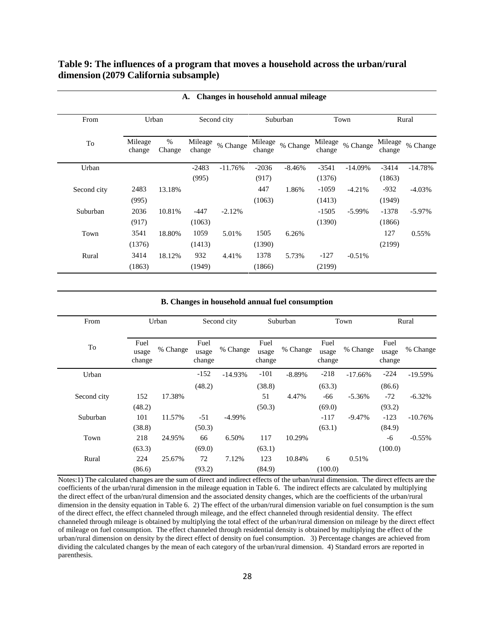#### **Table 9: The influences of a program that moves a household across the urban/rural dimension (2079 California subsample)**

| From        |                   | Urban       |                   | Second city |                   | Suburban |                   | Town       |                   | Rural     |
|-------------|-------------------|-------------|-------------------|-------------|-------------------|----------|-------------------|------------|-------------------|-----------|
| To          | Mileage<br>change | %<br>Change | Mileage<br>change | % Change    | Mileage<br>change | % Change | Mileage<br>change | % Change   | Mileage<br>change | % Change  |
| Urban       |                   |             | $-2483$           | $-11.76%$   | $-2036$           | $-8.46%$ | $-3541$           | $-14.09\%$ | $-3414$           | $-14.78%$ |
|             |                   |             | (995)             |             | (917)             |          | (1376)            |            | (1863)            |           |
| Second city | 2483              | 13.18%      |                   |             | 447               | 1.86%    | $-1059$           | $-4.21%$   | $-932$            | $-4.03\%$ |
|             | (995)             |             |                   |             | (1063)            |          | (1413)            |            | (1949)            |           |
| Suburban    | 2036              | 10.81%      | $-447$            | $-2.12%$    |                   |          | $-1505$           | $-5.99\%$  | $-1378$           | $-5.97\%$ |
|             | (917)             |             | (1063)            |             |                   |          | (1390)            |            | (1866)            |           |
| Town        | 3541              | 18.80%      | 1059              | 5.01%       | 1505              | 6.26%    |                   |            | 127               | 0.55%     |
|             | (1376)            |             | (1413)            |             | (1390)            |          |                   |            | (2199)            |           |
| Rural       | 3414              | 18.12%      | 932               | 4.41%       | 1378              | 5.73%    | -127              | $-0.51%$   |                   |           |
|             | (1863)            |             | (1949)            |             | (1866)            |          | (2199)            |            |                   |           |

#### **A. Changes in household annual mileage**

#### **B. Changes in household annual fuel consumption**

| From        | Urban                   |          | Second city             |           | Suburban                |          | Town                    |           | Rural                   |           |
|-------------|-------------------------|----------|-------------------------|-----------|-------------------------|----------|-------------------------|-----------|-------------------------|-----------|
| To          | Fuel<br>usage<br>change | % Change | Fuel<br>usage<br>change | % Change  | Fuel<br>usage<br>change | % Change | Fuel<br>usage<br>change | % Change  | Fuel<br>usage<br>change | % Change  |
| Urban       |                         |          | $-152$                  | $-14.93%$ | $-101$                  | $-8.89%$ | $-218$                  | $-17.66%$ | $-224$                  | $-19.59%$ |
|             |                         |          | (48.2)                  |           | (38.8)                  |          | (63.3)                  |           | (86.6)                  |           |
| Second city | 152                     | 17.38%   |                         |           | 51                      | 4.47%    | -66                     | $-5.36%$  | $-72$                   | $-6.32%$  |
|             | (48.2)                  |          |                         |           | (50.3)                  |          | (69.0)                  |           | (93.2)                  |           |
| Suburban    | 101                     | 11.57%   | $-51$                   | $-4.99\%$ |                         |          | $-117$                  | $-9.47%$  | $-123$                  | $-10.76%$ |
|             | (38.8)                  |          | (50.3)                  |           |                         |          | (63.1)                  |           | (84.9)                  |           |
| Town        | 218                     | 24.95%   | 66                      | 6.50%     | 117                     | 10.29%   |                         |           | -6                      | $-0.55%$  |
|             | (63.3)                  |          | (69.0)                  |           | (63.1)                  |          |                         |           | (100.0)                 |           |
| Rural       | 224                     | 25.67%   | 72                      | 7.12%     | 123                     | 10.84%   | 6                       | 0.51%     |                         |           |
|             | (86.6)                  |          | (93.2)                  |           | (84.9)                  |          | (100.0)                 |           |                         |           |

Notes:1) The calculated changes are the sum of direct and indirect effects of the urban/rural dimension. The direct effects are the coefficients of the urban/rural dimension in the mileage equation in Table 6. The indirect effects are calculated by multiplying the direct effect of the urban/rural dimension and the associated density changes, which are the coefficients of the urban/rural dimension in the density equation in Table 6. 2) The effect of the urban/rural dimension variable on fuel consumption is the sum of the direct effect, the effect channeled through mileage, and the effect channeled through residential density. The effect channeled through mileage is obtained by multiplying the total effect of the urban/rural dimension on mileage by the direct effect of mileage on fuel consumption. The effect channeled through residential density is obtained by multiplying the effect of the urban/rural dimension on density by the direct effect of density on fuel consumption. 3) Percentage changes are achieved from dividing the calculated changes by the mean of each category of the urban/rural dimension. 4) Standard errors are reported in parenthesis.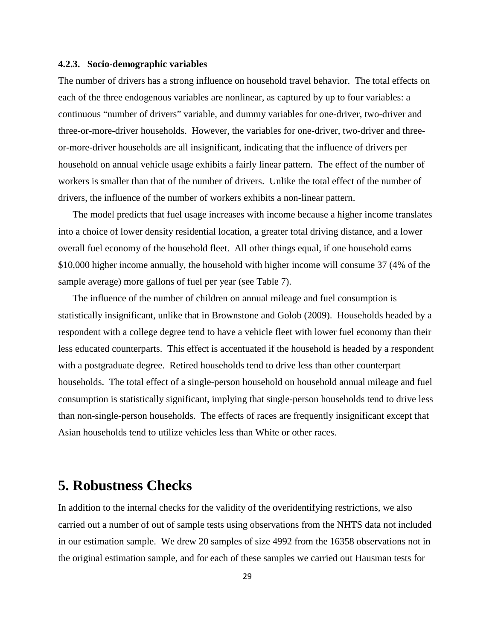#### **4.2.3. Socio-demographic variables**

The number of drivers has a strong influence on household travel behavior. The total effects on each of the three endogenous variables are nonlinear, as captured by up to four variables: a continuous "number of drivers" variable, and dummy variables for one-driver, two-driver and three-or-more-driver households. However, the variables for one-driver, two-driver and threeor-more-driver households are all insignificant, indicating that the influence of drivers per household on annual vehicle usage exhibits a fairly linear pattern. The effect of the number of workers is smaller than that of the number of drivers. Unlike the total effect of the number of drivers, the influence of the number of workers exhibits a non-linear pattern.

The model predicts that fuel usage increases with income because a higher income translates into a choice of lower density residential location, a greater total driving distance, and a lower overall fuel economy of the household fleet. All other things equal, if one household earns \$10,000 higher income annually, the household with higher income will consume 37 (4% of the sample average) more gallons of fuel per year (see Table 7).

The influence of the number of children on annual mileage and fuel consumption is statistically insignificant, unlike that in Brownstone and Golob (2009). Households headed by a respondent with a college degree tend to have a vehicle fleet with lower fuel economy than their less educated counterparts. This effect is accentuated if the household is headed by a respondent with a postgraduate degree. Retired households tend to drive less than other counterpart households. The total effect of a single-person household on household annual mileage and fuel consumption is statistically significant, implying that single-person households tend to drive less than non-single-person households. The effects of races are frequently insignificant except that Asian households tend to utilize vehicles less than White or other races.

## **5. Robustness Checks**

In addition to the internal checks for the validity of the overidentifying restrictions, we also carried out a number of out of sample tests using observations from the NHTS data not included in our estimation sample. We drew 20 samples of size 4992 from the 16358 observations not in the original estimation sample, and for each of these samples we carried out Hausman tests for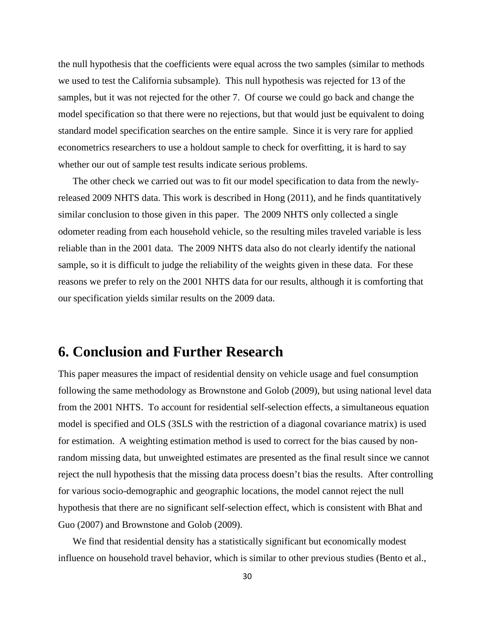the null hypothesis that the coefficients were equal across the two samples (similar to methods we used to test the California subsample). This null hypothesis was rejected for 13 of the samples, but it was not rejected for the other 7. Of course we could go back and change the model specification so that there were no rejections, but that would just be equivalent to doing standard model specification searches on the entire sample. Since it is very rare for applied econometrics researchers to use a holdout sample to check for overfitting, it is hard to say whether our out of sample test results indicate serious problems.

The other check we carried out was to fit our model specification to data from the newlyreleased 2009 NHTS data. This work is described in Hong (2011), and he finds quantitatively similar conclusion to those given in this paper. The 2009 NHTS only collected a single odometer reading from each household vehicle, so the resulting miles traveled variable is less reliable than in the 2001 data. The 2009 NHTS data also do not clearly identify the national sample, so it is difficult to judge the reliability of the weights given in these data. For these reasons we prefer to rely on the 2001 NHTS data for our results, although it is comforting that our specification yields similar results on the 2009 data.

## **6. Conclusion and Further Research**

This paper measures the impact of residential density on vehicle usage and fuel consumption following the same methodology as Brownstone and Golob (2009), but using national level data from the 2001 NHTS. To account for residential self-selection effects, a simultaneous equation model is specified and OLS (3SLS with the restriction of a diagonal covariance matrix) is used for estimation. A weighting estimation method is used to correct for the bias caused by nonrandom missing data, but unweighted estimates are presented as the final result since we cannot reject the null hypothesis that the missing data process doesn't bias the results. After controlling for various socio-demographic and geographic locations, the model cannot reject the null hypothesis that there are no significant self-selection effect, which is consistent with Bhat and Guo (2007) and Brownstone and Golob (2009).

We find that residential density has a statistically significant but economically modest influence on household travel behavior, which is similar to other previous studies (Bento et al.,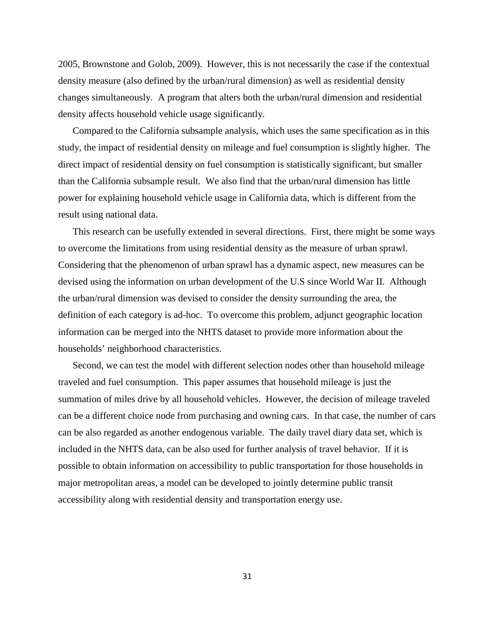2005, Brownstone and Golob, 2009). However, this is not necessarily the case if the contextual density measure (also defined by the urban/rural dimension) as well as residential density changes simultaneously. A program that alters both the urban/rural dimension and residential density affects household vehicle usage significantly.

Compared to the California subsample analysis, which uses the same specification as in this study, the impact of residential density on mileage and fuel consumption is slightly higher. The direct impact of residential density on fuel consumption is statistically significant, but smaller than the California subsample result. We also find that the urban/rural dimension has little power for explaining household vehicle usage in California data, which is different from the result using national data.

This research can be usefully extended in several directions. First, there might be some ways to overcome the limitations from using residential density as the measure of urban sprawl. Considering that the phenomenon of urban sprawl has a dynamic aspect, new measures can be devised using the information on urban development of the U.S since World War II. Although the urban/rural dimension was devised to consider the density surrounding the area, the definition of each category is ad-hoc. To overcome this problem, adjunct geographic location information can be merged into the NHTS dataset to provide more information about the households' neighborhood characteristics.

Second, we can test the model with different selection nodes other than household mileage traveled and fuel consumption. This paper assumes that household mileage is just the summation of miles drive by all household vehicles. However, the decision of mileage traveled can be a different choice node from purchasing and owning cars. In that case, the number of cars can be also regarded as another endogenous variable. The daily travel diary data set, which is included in the NHTS data, can be also used for further analysis of travel behavior. If it is possible to obtain information on accessibility to public transportation for those households in major metropolitan areas, a model can be developed to jointly determine public transit accessibility along with residential density and transportation energy use.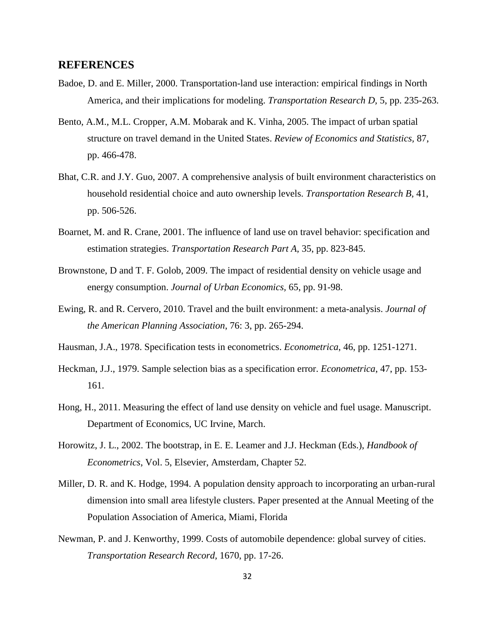#### **REFERENCES**

- Badoe, D. and E. Miller, 2000. Transportation-land use interaction: empirical findings in North America, and their implications for modeling. *Transportation Research D,* 5, pp. 235-263.
- Bento, A.M., M.L. Cropper, A.M. Mobarak and K. Vinha, 2005. The impact of urban spatial structure on travel demand in the United States. *Review of Economics and Statistics,* 87, pp. 466-478.
- Bhat, C.R. and J.Y. Guo, 2007. A comprehensive analysis of built environment characteristics on household residential choice and auto ownership levels. *Transportation Research B,* 41, pp. 506-526.
- Boarnet, M. and R. Crane, 2001. The influence of land use on travel behavior: specification and estimation strategies. *Transportation Research Part A,* 35, pp. 823-845.
- Brownstone, D and T. F. Golob, 2009. The impact of residential density on vehicle usage and energy consumption. *Journal of Urban Economics,* 65, pp. 91-98.
- Ewing, R. and R. Cervero, 2010. Travel and the built environment: a meta-analysis. *Journal of the American Planning Association*, 76: 3, pp. 265-294.
- Hausman, J.A., 1978. Specification tests in econometrics. *Econometrica*, 46, pp. 1251-1271.
- Heckman, J.J., 1979. Sample selection bias as a specification error. *Econometrica*, 47, pp. 153- 161.
- Hong, H., 2011. Measuring the effect of land use density on vehicle and fuel usage. Manuscript. Department of Economics, UC Irvine, March.
- Horowitz, J. L., 2002. The bootstrap, in E. E. Leamer and J.J. Heckman (Eds.), *Handbook of Econometrics*, Vol. 5, Elsevier, Amsterdam, Chapter 52.
- Miller, D. R. and K. Hodge, 1994. A population density approach to incorporating an urban-rural dimension into small area lifestyle clusters. Paper presented at the Annual Meeting of the Population Association of America, Miami, Florida
- Newman, P. and J. Kenworthy, 1999. Costs of automobile dependence: global survey of cities. *Transportation Research Record,* 1670, pp. 17-26.